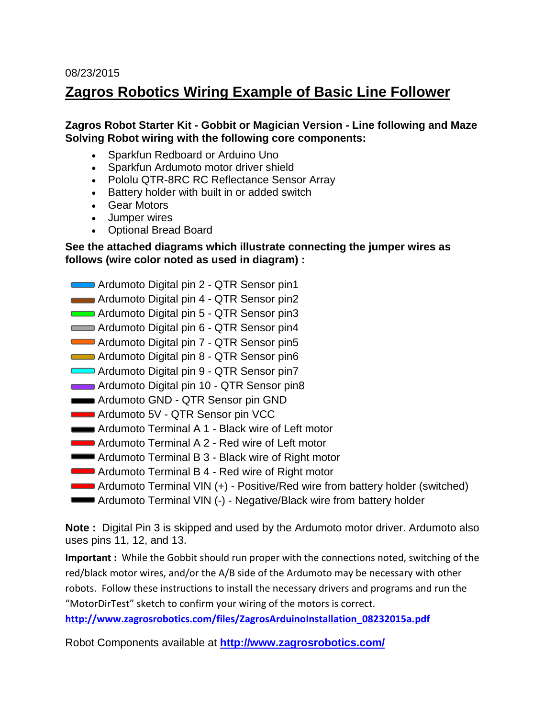#### 08/23/2015

### **Zagros Robotics Wiring Example of Basic Line Follower**

### **Zagros Robot Starter Kit - Gobbit or Magician Version - Line following and Maze Solving Robot wiring with the following core components:**

- Sparkfun Redboard or Arduino Uno
- Sparkfun Ardumoto motor driver shield
- Pololu QTR-8RC RC Reflectance Sensor Array
- Battery holder with built in or added switch
- Gear Motors
- Jumper wires
- Optional Bread Board

### **See the attached diagrams which illustrate connecting the jumper wires as follows (wire color noted as used in diagram) :**

- Ardumoto Digital pin 2 QTR Sensor pin1
- **Ardumoto Digital pin 4 QTR Sensor pin2**
- Ardumoto Digital pin 5 QTR Sensor pin3
- Ardumoto Digital pin 6 QTR Sensor pin4
- Ardumoto Digital pin 7 QTR Sensor pin5
- Ardumoto Digital pin 8 QTR Sensor pin6
- Ardumoto Digital pin 9 QTR Sensor pin7
- Ardumoto Digital pin 10 QTR Sensor pin8
- **Ardumoto GND QTR Sensor pin GND**
- **Ardumoto 5V QTR Sensor pin VCC**
- **Ardumoto Terminal A 1 Black wire of Left motor**
- **Ardumoto Terminal A 2 Red wire of Left motor**
- **Ardumoto Terminal B 3 Black wire of Right motor**
- **Ardumoto Terminal B 4 Red wire of Right motor**
- Ardumoto Terminal VIN (+) Positive/Red wire from battery holder (switched)
- **Ardumoto Terminal VIN (-) Negative/Black wire from battery holder**

**Note :** Digital Pin 3 is skipped and used by the Ardumoto motor driver. Ardumoto also uses pins 11, 12, and 13.

**Important :** While the Gobbit should run proper with the connections noted, switching of the red/black motor wires, and/or the A/B side of the Ardumoto may be necessary with other robots. Follow these instructions to install the necessary drivers and programs and run the "MotorDirTest" sketch to confirm your wiring of the motors is correct.

**[http://www.zagrosrobotics.com/files/ZagrosArduinoInstallation\\_08232015a.pdf](http://www.zagrosrobotics.com/files/ZagrosArduinoInstallation_08232015a.pdf)**

Robot Components available at **<http://www.zagrosrobotics.com/>**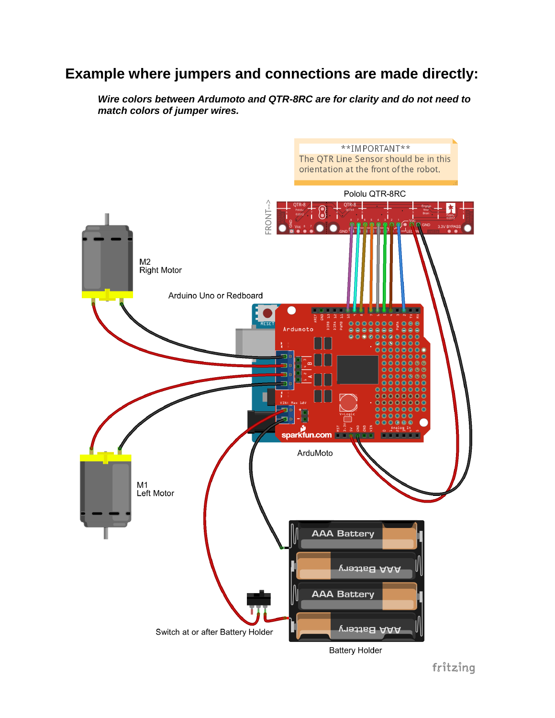# **Example where jumpers and connections are made directly:**

*Wire colors between Ardumoto and QTR-8RC are for clarity and do not need to match colors of jumper wires.*